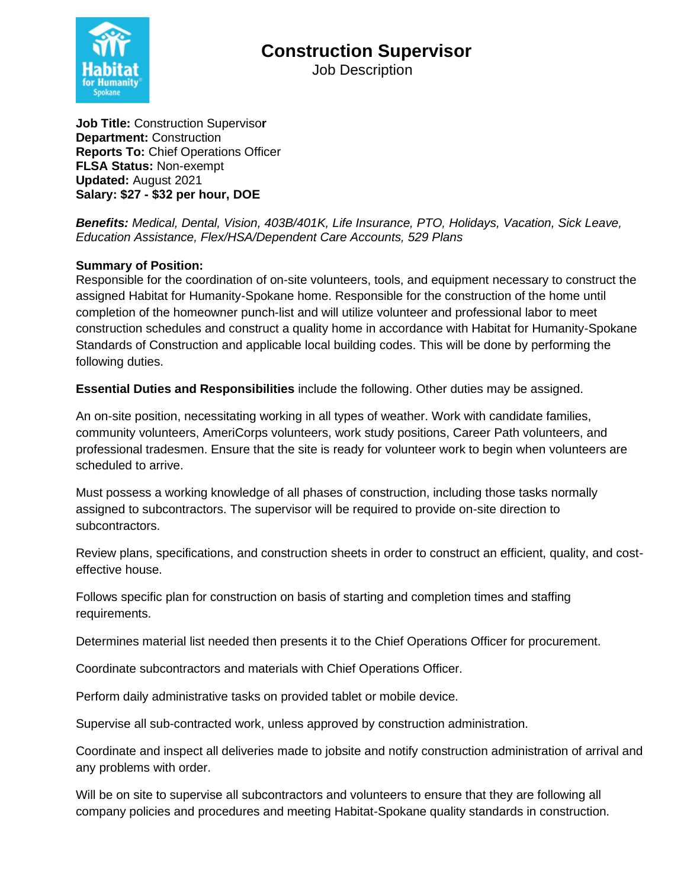

Job Description

**Job Title:** Construction Superviso**r Department:** Construction **Reports To:** Chief Operations Officer **FLSA Status:** Non-exempt **Updated:** August 2021 **Salary: \$27 - \$32 per hour, DOE** 

*Benefits: Medical, Dental, Vision, 403B/401K, Life Insurance, PTO, Holidays, Vacation, Sick Leave, Education Assistance, Flex/HSA/Dependent Care Accounts, 529 Plans*

### **Summary of Position:**

Responsible for the coordination of on-site volunteers, tools, and equipment necessary to construct the assigned Habitat for Humanity-Spokane home. Responsible for the construction of the home until completion of the homeowner punch-list and will utilize volunteer and professional labor to meet construction schedules and construct a quality home in accordance with Habitat for Humanity-Spokane Standards of Construction and applicable local building codes. This will be done by performing the following duties.

**Essential Duties and Responsibilities** include the following. Other duties may be assigned.

An on-site position, necessitating working in all types of weather. Work with candidate families, community volunteers, AmeriCorps volunteers, work study positions, Career Path volunteers, and professional tradesmen. Ensure that the site is ready for volunteer work to begin when volunteers are scheduled to arrive.

Must possess a working knowledge of all phases of construction, including those tasks normally assigned to subcontractors. The supervisor will be required to provide on-site direction to subcontractors.

Review plans, specifications, and construction sheets in order to construct an efficient, quality, and costeffective house.

Follows specific plan for construction on basis of starting and completion times and staffing requirements.

Determines material list needed then presents it to the Chief Operations Officer for procurement.

Coordinate subcontractors and materials with Chief Operations Officer.

Perform daily administrative tasks on provided tablet or mobile device.

Supervise all sub-contracted work, unless approved by construction administration.

Coordinate and inspect all deliveries made to jobsite and notify construction administration of arrival and any problems with order.

Will be on site to supervise all subcontractors and volunteers to ensure that they are following all company policies and procedures and meeting Habitat-Spokane quality standards in construction.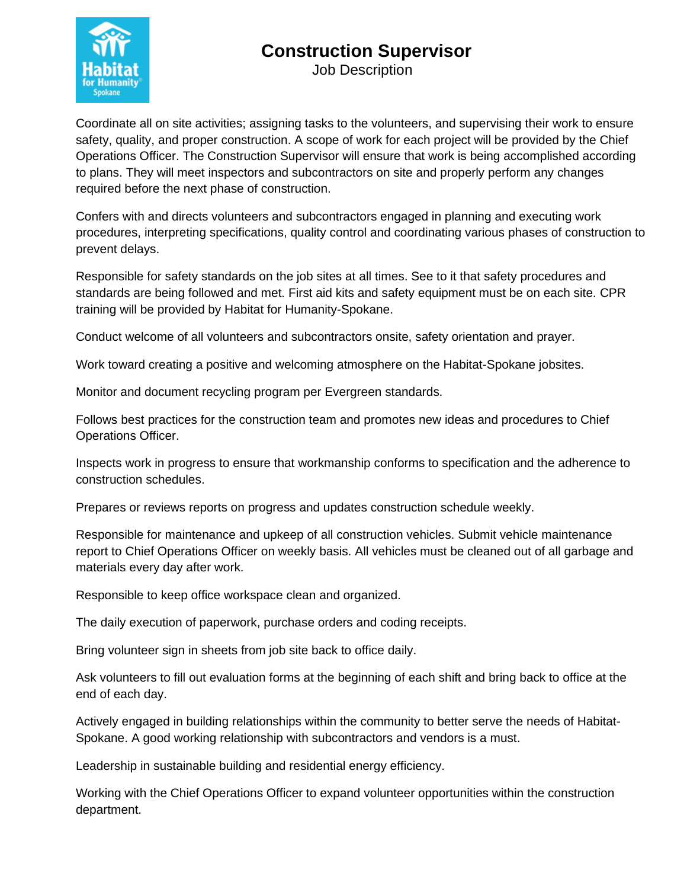

Job Description

Coordinate all on site activities; assigning tasks to the volunteers, and supervising their work to ensure safety, quality, and proper construction. A scope of work for each project will be provided by the Chief Operations Officer. The Construction Supervisor will ensure that work is being accomplished according to plans. They will meet inspectors and subcontractors on site and properly perform any changes required before the next phase of construction.

Confers with and directs volunteers and subcontractors engaged in planning and executing work procedures, interpreting specifications, quality control and coordinating various phases of construction to prevent delays.

Responsible for safety standards on the job sites at all times. See to it that safety procedures and standards are being followed and met. First aid kits and safety equipment must be on each site. CPR training will be provided by Habitat for Humanity-Spokane.

Conduct welcome of all volunteers and subcontractors onsite, safety orientation and prayer.

Work toward creating a positive and welcoming atmosphere on the Habitat-Spokane jobsites.

Monitor and document recycling program per Evergreen standards.

Follows best practices for the construction team and promotes new ideas and procedures to Chief Operations Officer.

Inspects work in progress to ensure that workmanship conforms to specification and the adherence to construction schedules.

Prepares or reviews reports on progress and updates construction schedule weekly.

Responsible for maintenance and upkeep of all construction vehicles. Submit vehicle maintenance report to Chief Operations Officer on weekly basis. All vehicles must be cleaned out of all garbage and materials every day after work.

Responsible to keep office workspace clean and organized.

The daily execution of paperwork, purchase orders and coding receipts.

Bring volunteer sign in sheets from job site back to office daily.

Ask volunteers to fill out evaluation forms at the beginning of each shift and bring back to office at the end of each day.

Actively engaged in building relationships within the community to better serve the needs of Habitat-Spokane. A good working relationship with subcontractors and vendors is a must.

Leadership in sustainable building and residential energy efficiency.

Working with the Chief Operations Officer to expand volunteer opportunities within the construction department.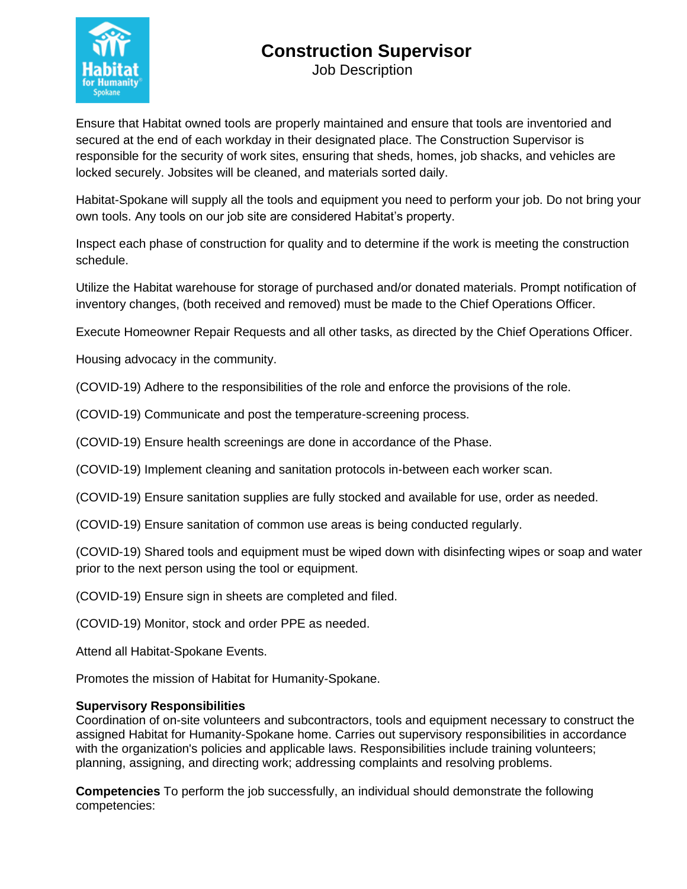

Job Description

Ensure that Habitat owned tools are properly maintained and ensure that tools are inventoried and secured at the end of each workday in their designated place. The Construction Supervisor is responsible for the security of work sites, ensuring that sheds, homes, job shacks, and vehicles are locked securely. Jobsites will be cleaned, and materials sorted daily.

Habitat-Spokane will supply all the tools and equipment you need to perform your job. Do not bring your own tools. Any tools on our job site are considered Habitat's property.

Inspect each phase of construction for quality and to determine if the work is meeting the construction schedule.

Utilize the Habitat warehouse for storage of purchased and/or donated materials. Prompt notification of inventory changes, (both received and removed) must be made to the Chief Operations Officer.

Execute Homeowner Repair Requests and all other tasks, as directed by the Chief Operations Officer.

Housing advocacy in the community.

(COVID-19) Adhere to the responsibilities of the role and enforce the provisions of the role.

(COVID-19) Communicate and post the temperature-screening process.

(COVID-19) Ensure health screenings are done in accordance of the Phase.

(COVID-19) Implement cleaning and sanitation protocols in-between each worker scan.

(COVID-19) Ensure sanitation supplies are fully stocked and available for use, order as needed.

(COVID-19) Ensure sanitation of common use areas is being conducted regularly.

(COVID-19) Shared tools and equipment must be wiped down with disinfecting wipes or soap and water prior to the next person using the tool or equipment.

(COVID-19) Ensure sign in sheets are completed and filed.

(COVID-19) Monitor, stock and order PPE as needed.

Attend all Habitat-Spokane Events.

Promotes the mission of Habitat for Humanity-Spokane.

### **Supervisory Responsibilities**

Coordination of on-site volunteers and subcontractors, tools and equipment necessary to construct the assigned Habitat for Humanity-Spokane home. Carries out supervisory responsibilities in accordance with the organization's policies and applicable laws. Responsibilities include training volunteers; planning, assigning, and directing work; addressing complaints and resolving problems.

**Competencies** To perform the job successfully, an individual should demonstrate the following competencies: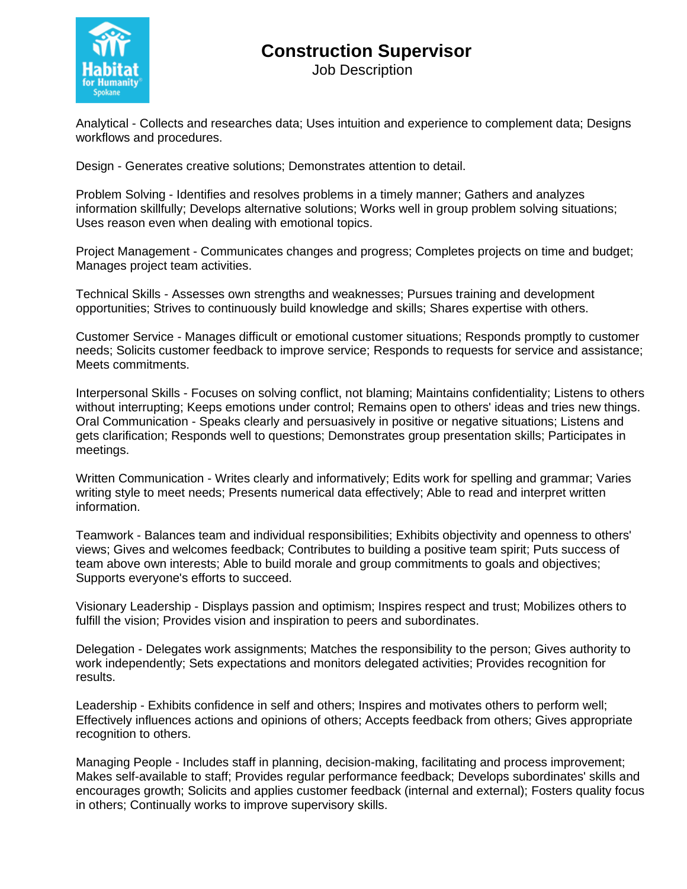

Job Description

Analytical - Collects and researches data; Uses intuition and experience to complement data; Designs workflows and procedures.

Design - Generates creative solutions; Demonstrates attention to detail.

Problem Solving - Identifies and resolves problems in a timely manner; Gathers and analyzes information skillfully; Develops alternative solutions; Works well in group problem solving situations; Uses reason even when dealing with emotional topics.

Project Management - Communicates changes and progress; Completes projects on time and budget; Manages project team activities.

Technical Skills - Assesses own strengths and weaknesses; Pursues training and development opportunities; Strives to continuously build knowledge and skills; Shares expertise with others.

Customer Service - Manages difficult or emotional customer situations; Responds promptly to customer needs; Solicits customer feedback to improve service; Responds to requests for service and assistance; Meets commitments.

Interpersonal Skills - Focuses on solving conflict, not blaming; Maintains confidentiality; Listens to others without interrupting; Keeps emotions under control; Remains open to others' ideas and tries new things. Oral Communication - Speaks clearly and persuasively in positive or negative situations; Listens and gets clarification; Responds well to questions; Demonstrates group presentation skills; Participates in meetings.

Written Communication - Writes clearly and informatively; Edits work for spelling and grammar; Varies writing style to meet needs; Presents numerical data effectively; Able to read and interpret written information.

Teamwork - Balances team and individual responsibilities; Exhibits objectivity and openness to others' views; Gives and welcomes feedback; Contributes to building a positive team spirit; Puts success of team above own interests; Able to build morale and group commitments to goals and objectives; Supports everyone's efforts to succeed.

Visionary Leadership - Displays passion and optimism; Inspires respect and trust; Mobilizes others to fulfill the vision; Provides vision and inspiration to peers and subordinates.

Delegation - Delegates work assignments; Matches the responsibility to the person; Gives authority to work independently; Sets expectations and monitors delegated activities; Provides recognition for results.

Leadership - Exhibits confidence in self and others; Inspires and motivates others to perform well; Effectively influences actions and opinions of others; Accepts feedback from others; Gives appropriate recognition to others.

Managing People - Includes staff in planning, decision-making, facilitating and process improvement; Makes self-available to staff; Provides regular performance feedback; Develops subordinates' skills and encourages growth; Solicits and applies customer feedback (internal and external); Fosters quality focus in others; Continually works to improve supervisory skills.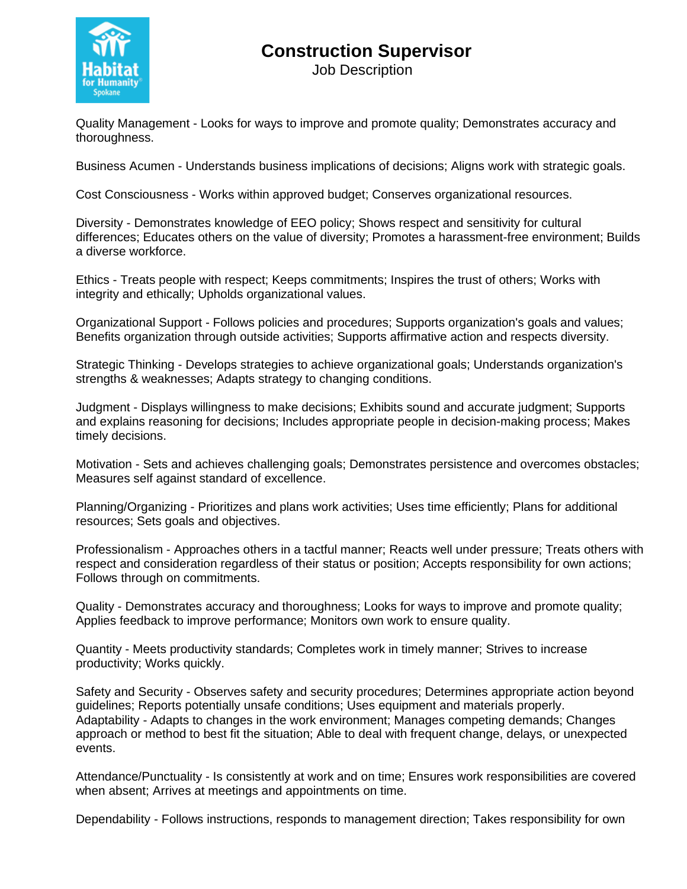

Job Description

Quality Management - Looks for ways to improve and promote quality; Demonstrates accuracy and thoroughness.

Business Acumen - Understands business implications of decisions; Aligns work with strategic goals.

Cost Consciousness - Works within approved budget; Conserves organizational resources.

Diversity - Demonstrates knowledge of EEO policy; Shows respect and sensitivity for cultural differences; Educates others on the value of diversity; Promotes a harassment-free environment; Builds a diverse workforce.

Ethics - Treats people with respect; Keeps commitments; Inspires the trust of others; Works with integrity and ethically; Upholds organizational values.

Organizational Support - Follows policies and procedures; Supports organization's goals and values; Benefits organization through outside activities; Supports affirmative action and respects diversity.

Strategic Thinking - Develops strategies to achieve organizational goals; Understands organization's strengths & weaknesses; Adapts strategy to changing conditions.

Judgment - Displays willingness to make decisions; Exhibits sound and accurate judgment; Supports and explains reasoning for decisions; Includes appropriate people in decision-making process; Makes timely decisions.

Motivation - Sets and achieves challenging goals; Demonstrates persistence and overcomes obstacles; Measures self against standard of excellence.

Planning/Organizing - Prioritizes and plans work activities; Uses time efficiently; Plans for additional resources; Sets goals and objectives.

Professionalism - Approaches others in a tactful manner; Reacts well under pressure; Treats others with respect and consideration regardless of their status or position; Accepts responsibility for own actions; Follows through on commitments.

Quality - Demonstrates accuracy and thoroughness; Looks for ways to improve and promote quality; Applies feedback to improve performance; Monitors own work to ensure quality.

Quantity - Meets productivity standards; Completes work in timely manner; Strives to increase productivity; Works quickly.

Safety and Security - Observes safety and security procedures; Determines appropriate action beyond guidelines; Reports potentially unsafe conditions; Uses equipment and materials properly. Adaptability - Adapts to changes in the work environment; Manages competing demands; Changes approach or method to best fit the situation; Able to deal with frequent change, delays, or unexpected events.

Attendance/Punctuality - Is consistently at work and on time; Ensures work responsibilities are covered when absent; Arrives at meetings and appointments on time.

Dependability - Follows instructions, responds to management direction; Takes responsibility for own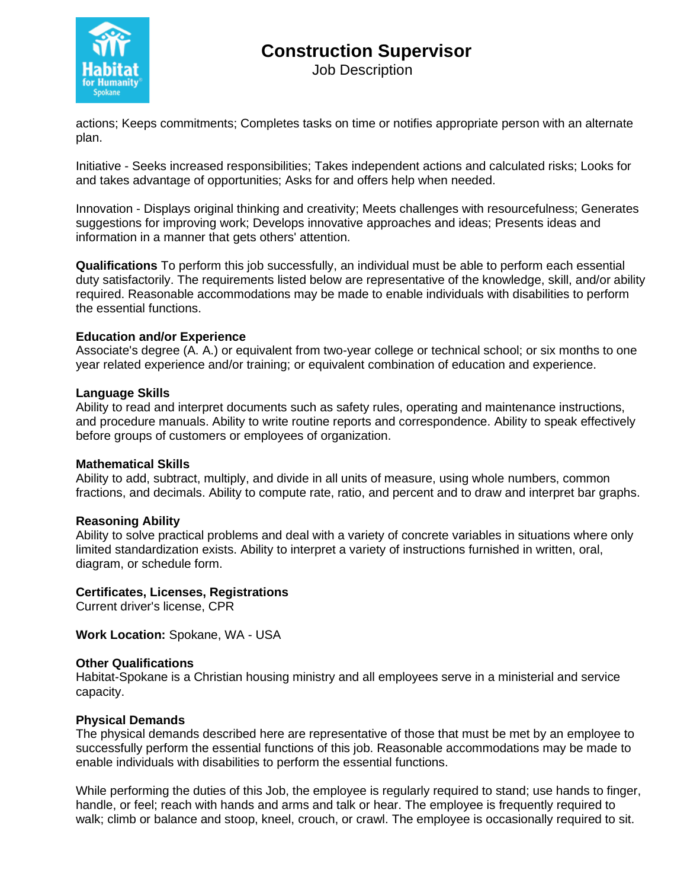

Job Description

actions; Keeps commitments; Completes tasks on time or notifies appropriate person with an alternate plan.

Initiative - Seeks increased responsibilities; Takes independent actions and calculated risks; Looks for and takes advantage of opportunities; Asks for and offers help when needed.

Innovation - Displays original thinking and creativity; Meets challenges with resourcefulness; Generates suggestions for improving work; Develops innovative approaches and ideas; Presents ideas and information in a manner that gets others' attention.

**Qualifications** To perform this job successfully, an individual must be able to perform each essential duty satisfactorily. The requirements listed below are representative of the knowledge, skill, and/or ability required. Reasonable accommodations may be made to enable individuals with disabilities to perform the essential functions.

#### **Education and/or Experience**

Associate's degree (A. A.) or equivalent from two-year college or technical school; or six months to one year related experience and/or training; or equivalent combination of education and experience.

#### **Language Skills**

Ability to read and interpret documents such as safety rules, operating and maintenance instructions, and procedure manuals. Ability to write routine reports and correspondence. Ability to speak effectively before groups of customers or employees of organization.

#### **Mathematical Skills**

Ability to add, subtract, multiply, and divide in all units of measure, using whole numbers, common fractions, and decimals. Ability to compute rate, ratio, and percent and to draw and interpret bar graphs.

#### **Reasoning Ability**

Ability to solve practical problems and deal with a variety of concrete variables in situations where only limited standardization exists. Ability to interpret a variety of instructions furnished in written, oral, diagram, or schedule form.

### **Certificates, Licenses, Registrations**

Current driver's license, CPR

**Work Location:** Spokane, WA - USA

### **Other Qualifications**

Habitat-Spokane is a Christian housing ministry and all employees serve in a ministerial and service capacity.

### **Physical Demands**

The physical demands described here are representative of those that must be met by an employee to successfully perform the essential functions of this job. Reasonable accommodations may be made to enable individuals with disabilities to perform the essential functions.

While performing the duties of this Job, the employee is regularly required to stand; use hands to finger, handle, or feel; reach with hands and arms and talk or hear. The employee is frequently required to walk; climb or balance and stoop, kneel, crouch, or crawl. The employee is occasionally required to sit.